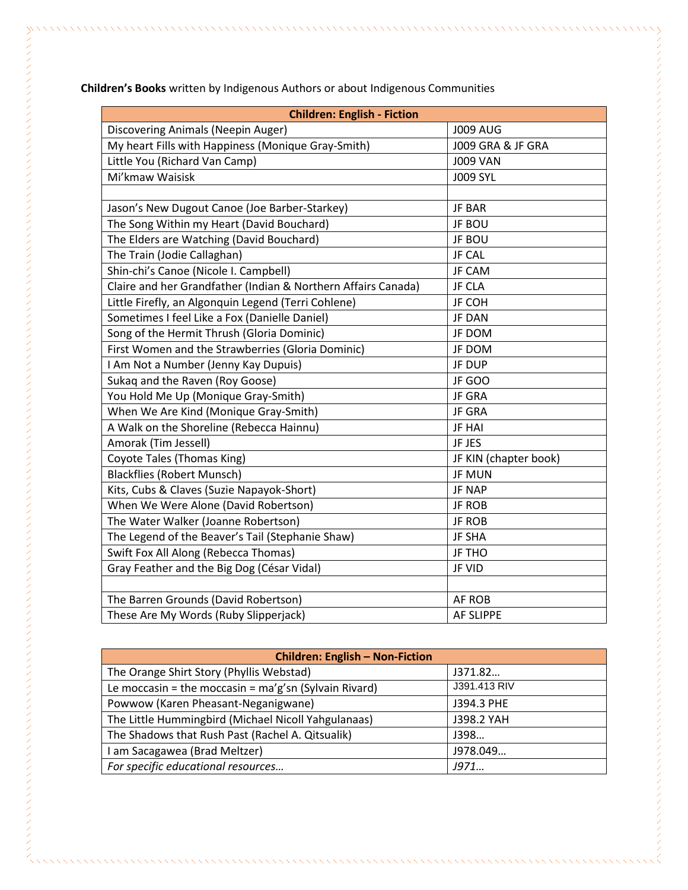| <b>Children: English - Fiction</b>                            |                       |
|---------------------------------------------------------------|-----------------------|
| Discovering Animals (Neepin Auger)                            | <b>J009 AUG</b>       |
| My heart Fills with Happiness (Monique Gray-Smith)            | J009 GRA & JF GRA     |
| Little You (Richard Van Camp)                                 | <b>J009 VAN</b>       |
| Mi'kmaw Waisisk                                               | <b>J009 SYL</b>       |
|                                                               |                       |
| Jason's New Dugout Canoe (Joe Barber-Starkey)                 | <b>JF BAR</b>         |
| The Song Within my Heart (David Bouchard)                     | JF BOU                |
| The Elders are Watching (David Bouchard)                      | JF BOU                |
| The Train (Jodie Callaghan)                                   | <b>JF CAL</b>         |
| Shin-chi's Canoe (Nicole I. Campbell)                         | JF CAM                |
| Claire and her Grandfather (Indian & Northern Affairs Canada) | <b>JF CLA</b>         |
| Little Firefly, an Algonquin Legend (Terri Cohlene)           | JF COH                |
| Sometimes I feel Like a Fox (Danielle Daniel)                 | <b>JF DAN</b>         |
| Song of the Hermit Thrush (Gloria Dominic)                    | JF DOM                |
| First Women and the Strawberries (Gloria Dominic)             | JF DOM                |
| I Am Not a Number (Jenny Kay Dupuis)                          | JF DUP                |
| Sukaq and the Raven (Roy Goose)                               | JF GOO                |
| You Hold Me Up (Monique Gray-Smith)                           | JF GRA                |
| When We Are Kind (Monique Gray-Smith)                         | <b>JF GRA</b>         |
| A Walk on the Shoreline (Rebecca Hainnu)                      | <b>JF HAI</b>         |
| Amorak (Tim Jessell)                                          | JF JES                |
| Coyote Tales (Thomas King)                                    | JF KIN (chapter book) |
| <b>Blackflies (Robert Munsch)</b>                             | <b>JF MUN</b>         |
| Kits, Cubs & Claves (Suzie Napayok-Short)                     | <b>JF NAP</b>         |
| When We Were Alone (David Robertson)                          | <b>JF ROB</b>         |
| The Water Walker (Joanne Robertson)                           | <b>JF ROB</b>         |
| The Legend of the Beaver's Tail (Stephanie Shaw)              | <b>JF SHA</b>         |
| Swift Fox All Along (Rebecca Thomas)                          | JF THO                |
| Gray Feather and the Big Dog (César Vidal)                    | JF VID                |
|                                                               |                       |
| The Barren Grounds (David Robertson)                          | AF ROB                |
| These Are My Words (Ruby Slipperjack)                         | <b>AF SLIPPE</b>      |

**Children's Books** written by Indigenous Authors or about Indigenous Communities

| <b>Children: English - Non-Fiction</b>                  |              |  |
|---------------------------------------------------------|--------------|--|
| The Orange Shirt Story (Phyllis Webstad)                | J371.82      |  |
| Le moccasin = the moccasin = $ma'g'sn$ (Sylvain Rivard) | J391.413 RIV |  |
| Powwow (Karen Pheasant-Neganigwane)                     | J394.3 PHE   |  |
| The Little Hummingbird (Michael Nicoll Yahgulanaas)     | J398.2 YAH   |  |
| The Shadows that Rush Past (Rachel A. Qitsualik)        | J398         |  |
| I am Sacagawea (Brad Meltzer)                           | J978.049     |  |
| For specific educational resources                      | J971         |  |